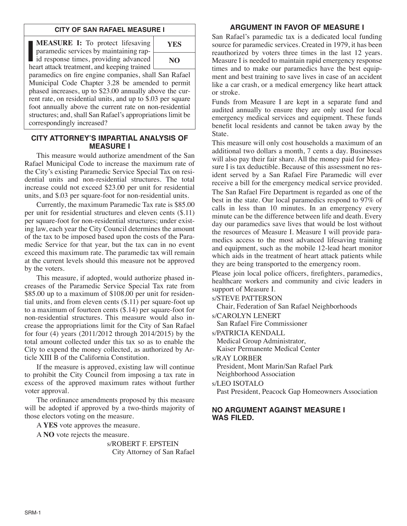### **CITY OF SAN RAFAEL MEASURE I**

**IFASURE I:** To protect lifesaving paramedic services by maintaining rapid response times, providing advanced heart attack treatment, and keeping trained **MEASURE I:** To protect lifesaving paramedic services by maintaining rapl id response times, providing advanced



paramedics on fire engine companies, shall San Rafael Municipal Code Chapter 3.28 be amended to permit phased increases, up to \$23.00 annually above the current rate, on residential units, and up to \$.03 per square foot annually above the current rate on non-residential structures; and, shall San Rafael's appropriations limit be correspondingly increased?

### **CITY ATTORNEY'S IMPARTIAL ANALYSIS OF MEASURE I**

This measure would authorize amendment of the San Rafael Municipal Code to increase the maximum rate of the City's existing Paramedic Service Special Tax on residential units and non-residential structures. The total increase could not exceed \$23.00 per unit for residential units, and \$.03 per square-foot for non-residential units.

Currently, the maximum Paramedic Tax rate is \$85.00 per unit for residential structures and eleven cents (\$.11) per square-foot for non-residential structures; under existing law, each year the City Council determines the amount of the tax to be imposed based upon the costs of the Paramedic Service for that year, but the tax can in no event exceed this maximum rate. The paramedic tax will remain at the current levels should this measure not be approved by the voters.

This measure, if adopted, would authorize phased increases of the Paramedic Service Special Tax rate from \$85.00 up to a maximum of \$108.00 per unit for residential units, and from eleven cents (\$.11) per square-foot up to a maximum of fourteen cents (\$.14) per square-foot for non-residential structures. This measure would also increase the appropriations limit for the City of San Rafael for four (4) years (2011/2012 through 2014/2015) by the total amount collected under this tax so as to enable the City to expend the money collected, as authorized by Article XIII B of the California Constitution.

If the measure is approved, existing law will continue to prohibit the City Council from imposing a tax rate in excess of the approved maximum rates without further voter approval.

The ordinance amendments proposed by this measure will be adopted if approved by a two-thirds majority of those electors voting on the measure.

A **YES** vote approves the measure.

A **NO** vote rejects the measure.

s/ROBERT F. EPSTEIN City Attorney of San Rafael

# **ARGUMENT IN FAVOR OF MEASURE I**

San Rafael's paramedic tax is a dedicated local funding source for paramedic services. Created in 1979, it has been reauthorized by voters three times in the last 12 years. Measure I is needed to maintain rapid emergency response times and to make our paramedics have the best equipment and best training to save lives in case of an accident like a car crash, or a medical emergency like heart attack or stroke.

Funds from Measure I are kept in a separate fund and audited annually to ensure they are only used for local emergency medical services and equipment. These funds benefit local residents and cannot be taken away by the State.

This measure will only cost households a maximum of an additional two dollars a month, 7 cents a day. Businesses will also pay their fair share. All the money paid for Measure I is tax deductible. Because of this assessment no resident served by a San Rafael Fire Paramedic will ever receive a bill for the emergency medical service provided.

The San Rafael Fire Department is regarded as one of the best in the state. Our local paramedics respond to 97% of calls in less than 10 minutes. In an emergency every minute can be the difference between life and death. Every day our paramedics save lives that would be lost without the resources of Measure I. Measure I will provide paramedics access to the most advanced lifesaving training and equipment, such as the mobile 12-lead heart monitor which aids in the treatment of heart attack patients while they are being transported to the emergency room.

Please join local police officers, firefighters, paramedics, healthcare workers and community and civic leaders in support of Measure I.

s/STEVE PATTERSON

Chair, Federation of San Rafael Neighborhoods

s/CAROLYN LENERT

San Rafael Fire Commissioner

s/PATRICIA KENDALL

Medical Group Administrator, Kaiser Permanente Medical Center

s/RAY LORBER

President, Mont Marin/San Rafael Park Neighborhood Association

s/LEO ISOTALO

Past President, Peacock Gap Homeowners Association

# **NO ARGUMENT AGAINST MEASURE I WAS FILED.**